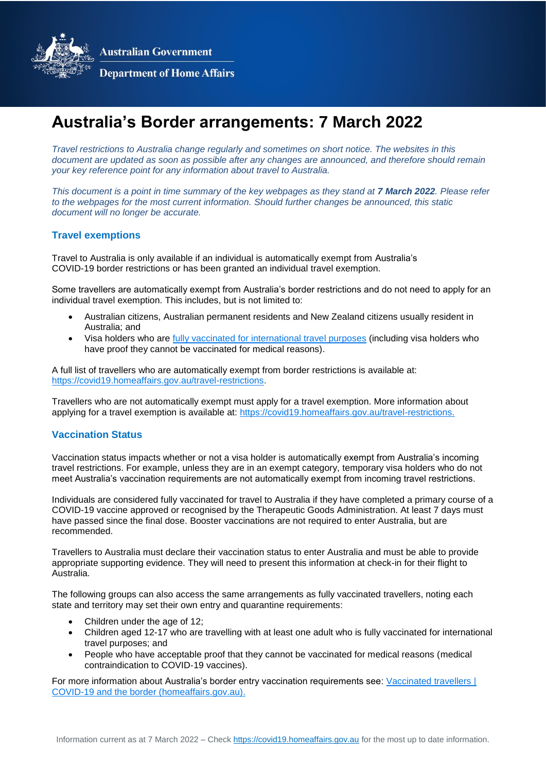**Australian Government** 



**Department of Home Affairs** 

# **Australia's Border arrangements: 7 March 2022**

*Travel restrictions to Australia change regularly and sometimes on short notice. The websites in this document are updated as soon as possible after any changes are announced, and therefore should remain your key reference point for any information about travel to Australia.*

*This document is a point in time summary of the key webpages as they stand at 7 March 2022. Please refer to the webpages for the most current information. Should further changes be announced, this static document will no longer be accurate.*

### **Travel exemptions**

Travel to Australia is only available if an individual is automatically exempt from Australia's COVID-19 border restrictions or has been granted an individual travel exemption.

Some travellers are automatically exempt from Australia's border restrictions and do not need to apply for an individual travel exemption. This includes, but is not limited to:

- Australian citizens, Australian permanent residents and New Zealand citizens usually resident in Australia; and
- Visa holders who are fully vaccinated [for international travel purposes](https://covid19.homeaffairs.gov.au/vaccinated-travellers) (including visa holders who have proof they cannot be vaccinated for medical reasons).

A full list of travellers who are automatically exempt from border restrictions is available at: [https://covid19.homeaffairs.gov.au/travel-restrictions.](https://covid19.homeaffairs.gov.au/travel-restrictions)

Travellers who are not automatically exempt must apply for a travel exemption. More information about applying for a travel exemption is available at: [https://covid19.homeaffairs.gov.au/travel-restrictions.](https://covid19.homeaffairs.gov.au/travel-restrictions)

#### **Vaccination Status**

Vaccination status impacts whether or not a visa holder is automatically exempt from Australia's incoming travel restrictions. For example, unless they are in an exempt category, temporary visa holders who do not meet Australia's vaccination requirements are not automatically exempt from incoming travel restrictions.

Individuals are considered fully vaccinated for travel to Australia if they have completed a primary course of a COVID-19 vaccine approved or recognised by the Therapeutic Goods Administration. At least 7 days must have passed since the final dose. Booster vaccinations are not required to enter Australia, but are recommended.

Travellers to Australia must declare their vaccination status to enter Australia and must be able to provide appropriate supporting evidence. They will need to present this information at check-in for their flight to Australia.

The following groups can also access the same arrangements as fully vaccinated travellers, noting each state and territory may set their own entry and quarantine requirements:

- Children under the age of 12;
- Children aged 12-17 who are travelling with at least one adult who is fully vaccinated for international travel purposes; and
- People who have acceptable proof that they cannot be vaccinated for medical reasons (medical contraindication to COVID‑19 vaccines).

For more information about Australia's border entry vaccination requirements see: Vaccinated travellers | [COVID-19 and the border \(homeaffairs.gov.au\).](https://covid19.homeaffairs.gov.au/vaccinated-travellers)